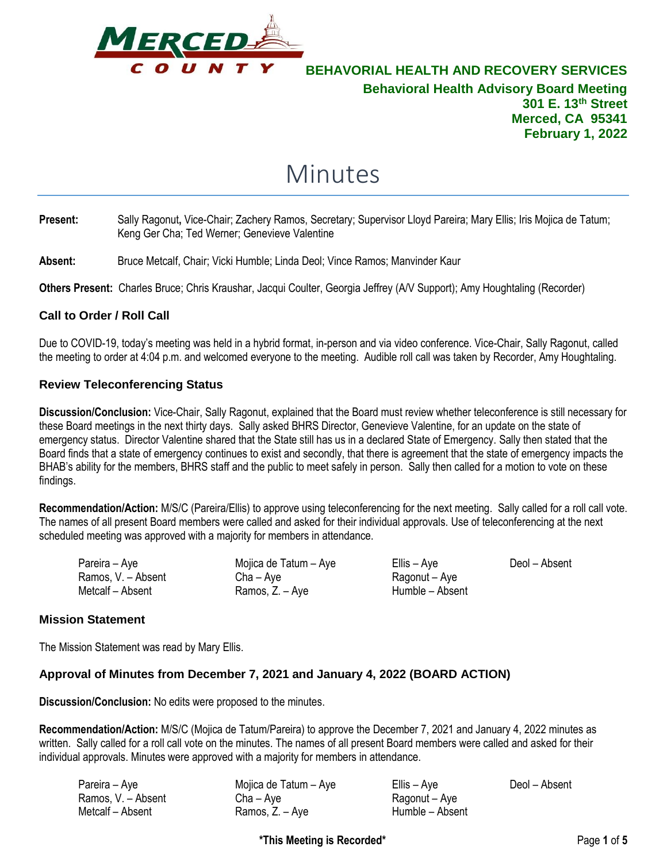

# Minutes

- **Present:** Sally Ragonut**,** Vice-Chair; Zachery Ramos, Secretary; Supervisor Lloyd Pareira; Mary Ellis; Iris Mojica de Tatum; Keng Ger Cha; Ted Werner; Genevieve Valentine
- **Absent:** Bruce Metcalf, Chair; Vicki Humble; Linda Deol; Vince Ramos; Manvinder Kaur

**Others Present:** Charles Bruce; Chris Kraushar, Jacqui Coulter, Georgia Jeffrey (A/V Support); Amy Houghtaling (Recorder)

#### **Call to Order / Roll Call**

Due to COVID-19, today's meeting was held in a hybrid format, in-person and via video conference. Vice-Chair, Sally Ragonut, called the meeting to order at 4:04 p.m. and welcomed everyone to the meeting. Audible roll call was taken by Recorder, Amy Houghtaling.

#### **Review Teleconferencing Status**

**Discussion/Conclusion:** Vice-Chair, Sally Ragonut, explained that the Board must review whether teleconference is still necessary for these Board meetings in the next thirty days. Sally asked BHRS Director, Genevieve Valentine, for an update on the state of emergency status. Director Valentine shared that the State still has us in a declared State of Emergency. Sally then stated that the Board finds that a state of emergency continues to exist and secondly, that there is agreement that the state of emergency impacts the BHAB's ability for the members, BHRS staff and the public to meet safely in person. Sally then called for a motion to vote on these findings.

**Recommendation/Action:** M/S/C (Pareira/Ellis) to approve using teleconferencing for the next meeting. Sally called for a roll call vote. The names of all present Board members were called and asked for their individual approvals. Use of teleconferencing at the next scheduled meeting was approved with a majority for members in attendance.

| Pareira – Aye      | Mojica de Tatum - Aye | Ellis – Aye     | Deol – Absent |
|--------------------|-----------------------|-----------------|---------------|
| Ramos, V. - Absent | $Cha - Ave$           | Ragonut – Aye   |               |
| Metcalf - Absent   | Ramos, Z. – Aye       | Humble – Absent |               |

#### **Mission Statement**

The Mission Statement was read by Mary Ellis.

#### **Approval of Minutes from December 7, 2021 and January 4, 2022 (BOARD ACTION)**

**Discussion/Conclusion:** No edits were proposed to the minutes.

**Recommendation/Action:** M/S/C (Mojica de Tatum/Pareira) to approve the December 7, 2021 and January 4, 2022 minutes as written. Sally called for a roll call vote on the minutes. The names of all present Board members were called and asked for their individual approvals. Minutes were approved with a majority for members in attendance.

| Pareira – Aye      | Mojica de Tatum - Aye | Ellis – Aye     | Deol – Absent |
|--------------------|-----------------------|-----------------|---------------|
| Ramos, V. – Absent | Cha – Ave             | Ragonut – Aye   |               |
| Metcalf – Absent   | Ramos, Z. – Aye       | Humble – Absent |               |

**\*This Meeting is Recorded\*** Page **1** of **5**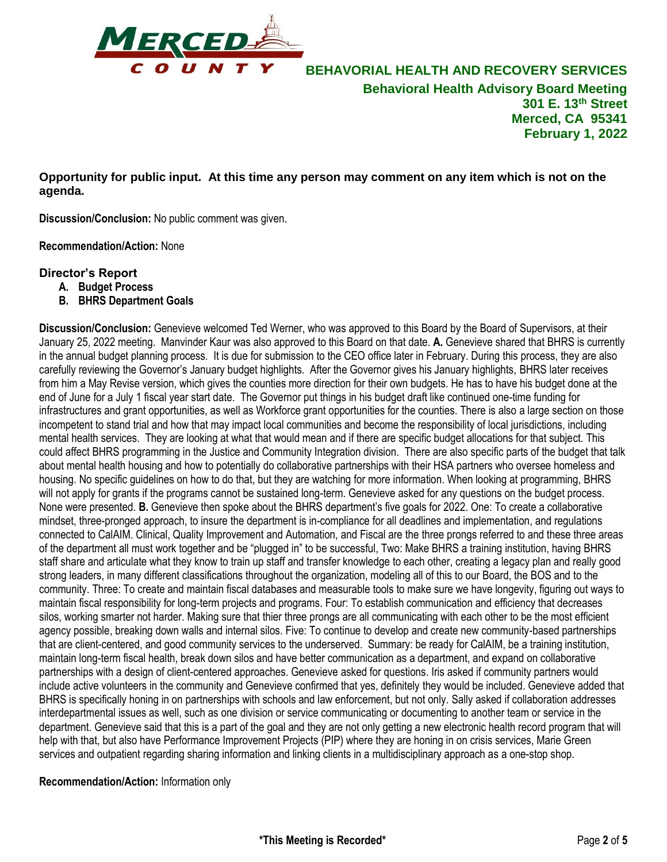

**Opportunity for public input. At this time any person may comment on any item which is not on the agenda.**

**Discussion/Conclusion:** No public comment was given.

**Recommendation/Action:** None

#### **Director's Report**

- **A. Budget Process**
- **B. BHRS Department Goals**

**Discussion/Conclusion:** Genevieve welcomed Ted Werner, who was approved to this Board by the Board of Supervisors, at their January 25, 2022 meeting. Manvinder Kaur was also approved to this Board on that date. **A.** Genevieve shared that BHRS is currently in the annual budget planning process. It is due for submission to the CEO office later in February. During this process, they are also carefully reviewing the Governor's January budget highlights. After the Governor gives his January highlights, BHRS later receives from him a May Revise version, which gives the counties more direction for their own budgets. He has to have his budget done at the end of June for a July 1 fiscal year start date. The Governor put things in his budget draft like continued one-time funding for infrastructures and grant opportunities, as well as Workforce grant opportunities for the counties. There is also a large section on those incompetent to stand trial and how that may impact local communities and become the responsibility of local jurisdictions, including mental health services. They are looking at what that would mean and if there are specific budget allocations for that subject. This could affect BHRS programming in the Justice and Community Integration division. There are also specific parts of the budget that talk about mental health housing and how to potentially do collaborative partnerships with their HSA partners who oversee homeless and housing. No specific guidelines on how to do that, but they are watching for more information. When looking at programming, BHRS will not apply for grants if the programs cannot be sustained long-term. Genevieve asked for any questions on the budget process. None were presented. **B.** Genevieve then spoke about the BHRS department's five goals for 2022. One: To create a collaborative mindset, three-pronged approach, to insure the department is in-compliance for all deadlines and implementation, and regulations connected to CalAIM. Clinical, Quality Improvement and Automation, and Fiscal are the three prongs referred to and these three areas of the department all must work together and be "plugged in" to be successful, Two: Make BHRS a training institution, having BHRS staff share and articulate what they know to train up staff and transfer knowledge to each other, creating a legacy plan and really good strong leaders, in many different classifications throughout the organization, modeling all of this to our Board, the BOS and to the community. Three: To create and maintain fiscal databases and measurable tools to make sure we have longevity, figuring out ways to maintain fiscal responsibility for long-term projects and programs. Four: To establish communication and efficiency that decreases silos, working smarter not harder. Making sure that thier three prongs are all communicating with each other to be the most efficient agency possible, breaking down walls and internal silos. Five: To continue to develop and create new community-based partnerships that are client-centered, and good community services to the underserved. Summary: be ready for CalAIM, be a training institution, maintain long-term fiscal health, break down silos and have better communication as a department, and expand on collaborative partnerships with a design of client-centered approaches. Genevieve asked for questions. Iris asked if community partners would include active volunteers in the community and Genevieve confirmed that yes, definitely they would be included. Genevieve added that BHRS is specifically honing in on partnerships with schools and law enforcement, but not only. Sally asked if collaboration addresses interdepartmental issues as well, such as one division or service communicating or documenting to another team or service in the department. Genevieve said that this is a part of the goal and they are not only getting a new electronic health record program that will help with that, but also have Performance Improvement Projects (PIP) where they are honing in on crisis services, Marie Green services and outpatient regarding sharing information and linking clients in a multidisciplinary approach as a one-stop shop.

**Recommendation/Action:** Information only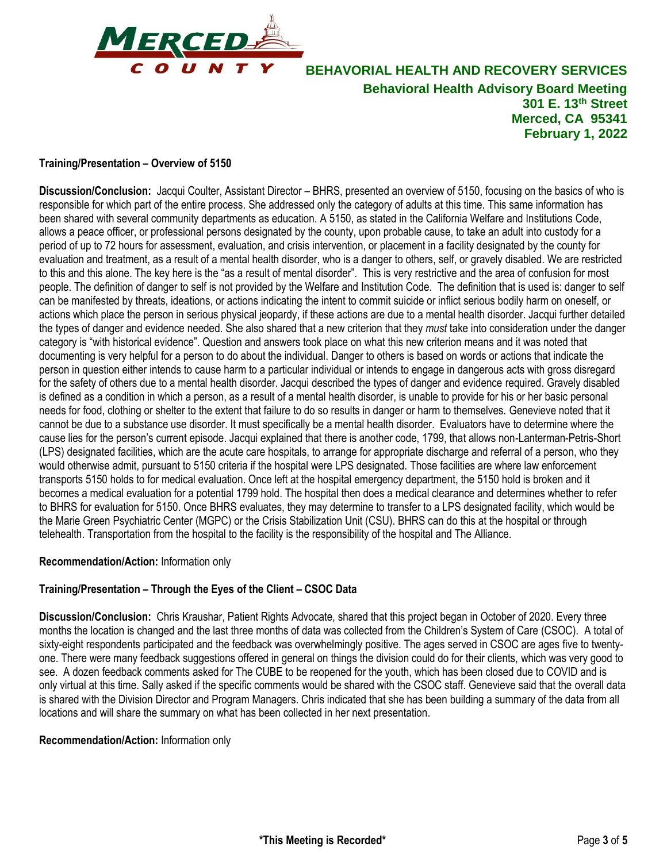

## **Training/Presentation – Overview of 5150**

**Discussion/Conclusion:** Jacqui Coulter, Assistant Director – BHRS, presented an overview of 5150, focusing on the basics of who is responsible for which part of the entire process. She addressed only the category of adults at this time. This same information has been shared with several community departments as education. A 5150, as stated in the California Welfare and Institutions Code, allows a peace officer, or professional persons designated by the county, upon probable cause, to take an adult into custody for a period of up to 72 hours for assessment, evaluation, and crisis intervention, or placement in a facility designated by the county for evaluation and treatment, as a result of a mental health disorder, who is a danger to others, self, or gravely disabled. We are restricted to this and this alone. The key here is the "as a result of mental disorder". This is very restrictive and the area of confusion for most people. The definition of danger to self is not provided by the Welfare and Institution Code. The definition that is used is: danger to self can be manifested by threats, ideations, or actions indicating the intent to commit suicide or inflict serious bodily harm on oneself, or actions which place the person in serious physical jeopardy, if these actions are due to a mental health disorder. Jacqui further detailed the types of danger and evidence needed. She also shared that a new criterion that they *must* take into consideration under the danger category is "with historical evidence". Question and answers took place on what this new criterion means and it was noted that documenting is very helpful for a person to do about the individual. Danger to others is based on words or actions that indicate the person in question either intends to cause harm to a particular individual or intends to engage in dangerous acts with gross disregard for the safety of others due to a mental health disorder. Jacqui described the types of danger and evidence required. Gravely disabled is defined as a condition in which a person, as a result of a mental health disorder, is unable to provide for his or her basic personal needs for food, clothing or shelter to the extent that failure to do so results in danger or harm to themselves. Genevieve noted that it cannot be due to a substance use disorder. It must specifically be a mental health disorder. Evaluators have to determine where the cause lies for the person's current episode. Jacqui explained that there is another code, 1799, that allows non-Lanterman-Petris-Short (LPS) designated facilities, which are the acute care hospitals, to arrange for appropriate discharge and referral of a person, who they would otherwise admit, pursuant to 5150 criteria if the hospital were LPS designated. Those facilities are where law enforcement transports 5150 holds to for medical evaluation. Once left at the hospital emergency department, the 5150 hold is broken and it becomes a medical evaluation for a potential 1799 hold. The hospital then does a medical clearance and determines whether to refer to BHRS for evaluation for 5150. Once BHRS evaluates, they may determine to transfer to a LPS designated facility, which would be the Marie Green Psychiatric Center (MGPC) or the Crisis Stabilization Unit (CSU). BHRS can do this at the hospital or through telehealth. Transportation from the hospital to the facility is the responsibility of the hospital and The Alliance.

#### **Recommendation/Action:** Information only

#### **Training/Presentation – Through the Eyes of the Client – CSOC Data**

**Discussion/Conclusion:** Chris Kraushar, Patient Rights Advocate, shared that this project began in October of 2020. Every three months the location is changed and the last three months of data was collected from the Children's System of Care (CSOC). A total of sixty-eight respondents participated and the feedback was overwhelmingly positive. The ages served in CSOC are ages five to twentyone. There were many feedback suggestions offered in general on things the division could do for their clients, which was very good to see. A dozen feedback comments asked for The CUBE to be reopened for the youth, which has been closed due to COVID and is only virtual at this time. Sally asked if the specific comments would be shared with the CSOC staff. Genevieve said that the overall data is shared with the Division Director and Program Managers. Chris indicated that she has been building a summary of the data from all locations and will share the summary on what has been collected in her next presentation.

#### **Recommendation/Action:** Information only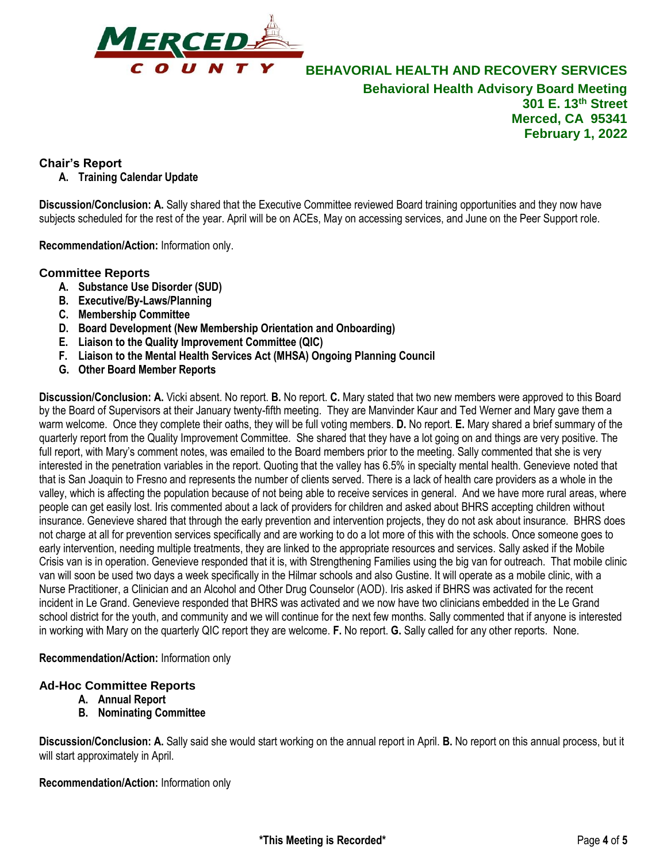

## **Chair's Report**

**A. Training Calendar Update**

**Discussion/Conclusion: A.** Sally shared that the Executive Committee reviewed Board training opportunities and they now have subjects scheduled for the rest of the year. April will be on ACEs, May on accessing services, and June on the Peer Support role.

**Recommendation/Action:** Information only.

## **Committee Reports**

- **A. Substance Use Disorder (SUD)**
- **B. Executive/By-Laws/Planning**
- **C. Membership Committee**
- **D. Board Development (New Membership Orientation and Onboarding)**
- **E. Liaison to the Quality Improvement Committee (QIC)**
- **F. Liaison to the Mental Health Services Act (MHSA) Ongoing Planning Council**
- **G. Other Board Member Reports**

**Discussion/Conclusion: A.** Vicki absent. No report. **B.** No report. **C.** Mary stated that two new members were approved to this Board by the Board of Supervisors at their January twenty-fifth meeting. They are Manvinder Kaur and Ted Werner and Mary gave them a warm welcome. Once they complete their oaths, they will be full voting members. **D.** No report. **E.** Mary shared a brief summary of the quarterly report from the Quality Improvement Committee. She shared that they have a lot going on and things are very positive. The full report, with Mary's comment notes, was emailed to the Board members prior to the meeting. Sally commented that she is very interested in the penetration variables in the report. Quoting that the valley has 6.5% in specialty mental health. Genevieve noted that that is San Joaquin to Fresno and represents the number of clients served. There is a lack of health care providers as a whole in the valley, which is affecting the population because of not being able to receive services in general. And we have more rural areas, where people can get easily lost. Iris commented about a lack of providers for children and asked about BHRS accepting children without insurance. Genevieve shared that through the early prevention and intervention projects, they do not ask about insurance. BHRS does not charge at all for prevention services specifically and are working to do a lot more of this with the schools. Once someone goes to early intervention, needing multiple treatments, they are linked to the appropriate resources and services. Sally asked if the Mobile Crisis van is in operation. Genevieve responded that it is, with Strengthening Families using the big van for outreach. That mobile clinic van will soon be used two days a week specifically in the Hilmar schools and also Gustine. It will operate as a mobile clinic, with a Nurse Practitioner, a Clinician and an Alcohol and Other Drug Counselor (AOD). Iris asked if BHRS was activated for the recent incident in Le Grand. Genevieve responded that BHRS was activated and we now have two clinicians embedded in the Le Grand school district for the youth, and community and we will continue for the next few months. Sally commented that if anyone is interested in working with Mary on the quarterly QIC report they are welcome. **F.** No report. **G.** Sally called for any other reports. None.

#### **Recommendation/Action:** Information only

## **Ad-Hoc Committee Reports**

- **A. Annual Report**
- **B. Nominating Committee**

**Discussion/Conclusion: A.** Sally said she would start working on the annual report in April. **B.** No report on this annual process, but it will start approximately in April.

**Recommendation/Action:** Information only